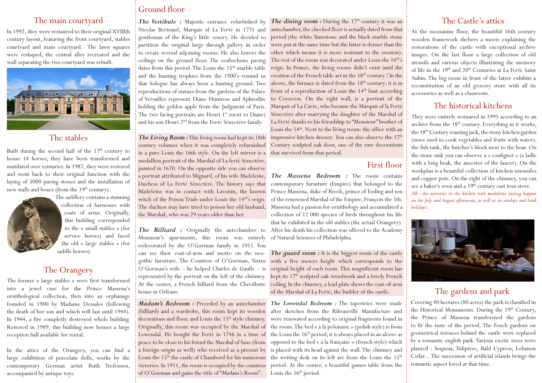In 1992, they were restaured to their original XVIIIth century layout, featuring the front courtyard, stables courtyard and main courtyard. The lawn squares were reshaped, the central alley recreated and the wall separating the two courtyard was rebuilt.



### The stables

Built during the second half of the  $17<sup>th</sup>$  century to house 14 horses, they have been transformed and mutilated over centuries. In 1987, they were restored and went back to their original function with the laying of 5000 paving stones and the installation of new stalls and boxes (from the 19<sup>th</sup> century).



The saddlery contains a stunning collection of harnesses with coats of arms. Originally, this building corresponded to the « small stables » (for service horses) and faced the old « large stables » (for saddle horses).

## The Orangery

The former « large stables » were first transformed into a jewel case for the Prince Massena's ornithological collection, then into an orphanage founded in 1900 by Madame Dessales (following the death of her son and which will last until 1944). In 1944, a fire completly destroyed whole building. Restored in 1989, this building now houses a large reception hall available for rental.

In the attics of the Orangery, you can find a large exhibition of porcelain dolls, works by the contemporary German artist Ruth Trefeissen, accompanied by antique toys.

# Ground floor

*The Vestibule :* Majestic entrance refurbished by Nicolas Bertrand, Marquis of La Ferté in 1775 and gentleman of the King's little venery. He decided to partition the original large through gallery in order to create several adjoining rooms. He also lowers the ceilings on the ground floor. The «cabochon» paving dates from this period. The Louis the 15<sup>th</sup> marble table and the hunting trophies from the 1900's remind us that Sologne has always been a hunting ground. Two reproductions of statues from the gardens of the Palace of Versailles represent Diane Huntress and Aphrodite holding the golden apple from the Judgment of Paris. The two facing portraits are Henri  $1<sup>st</sup>$  (next to Diane) and his son Henri 2nd from the Ferté Sénectère family.

*The Living Room :* This living room had kept its 18th century volumes when it was completely refurnished in a pure Louis the 16th style. On the left mirror is a medallion portrait of the Marshal of La ferté Sénectère, painted in 1670. On the opposite side you can observe a portrait attributed to Mignard, of his wife Madeleine, Duchess of La Ferté Sénectère. The history says that witch of the Poison Trials under Louis the  $14<sup>th</sup>$ 's reign. The duchess may have tried to poison her old husband, the Marshal, who was 29 years older than her.

Monsieur's apartments, this room was entirely of Natural Sciences of Philadelphia. redecorated by the O'Gorman family in 1911. You can see their coat-of-arm and motto on the neogothic furniture. The Countess of O'Gorman, Sixtus O'Gorman's wife – he helped Charles de Gaulle – is represented by the portrait on the left of the chimney. house in Orléans.

*Madam's Bedroom :* Preceded by an antechamber (billiard) and a wardrobe, this room kept its wooden decorations and floor, and Louis the 15<sup>th</sup> style chimney. victories. In 1911, the room is occupied by the countess of O'Gorman and gains the title of "Madam's Room".

The main courtyard The Vestibule : Majestic entrance refurbished by The dining room : During the 17th century it was an The Castle's attics antechamber, the checked floor is actually dated from that period (the white limestone and the black marble stone were put at the same time but the latter is denser than the other which means it is more resistant to the erosion). The rest of the room was decorated under Louis the 16<sup>th</sup>'s reign. In France, the living rooms didn't exist until the creation of the French table art in the 18<sup>th</sup> century ! In the alcove, the furnace is dated from the  $18<sup>th</sup>$  century; it is in front of a reproduction of Louis the  $14<sup>th</sup>$  bust according to Coysevox. On the right wall, is a portrait of the Marquis of La Carte, who became the Marquis of la Ferté Sénectère after marrying the daughter of the Marshal of La Ferté thanks to his friendship to "Monsieur" brother of Louis the 14<sup>th</sup>. Next to the living room: the office with an impressive kitchen dresser. You can also observe the  $17<sup>th</sup>$ Century sculpted oak door, one of the rare decorations that survived from that period.

#### First floor

Madeleine was in contact with Lavoisin, the known Prince Masséna, duke of Rivoli, prince of Essling and son *The Massena Bedroom :* The room contains contemporary furniture (Empire) that belonged to the of the renowned Marshal of the Empire, François the 5th. Massena had a passion for ornithology and accumulated a collection of 12 000 species of birds throughout his life that he exhibited in the old stables (the actual Orangery). The Billiard : Originally the antechamber to After his death his collection was offered to the Academy

*The guard room :* It is the biggest room of the castle with a five meters height which corresponds to the original height of each room. This magnificent room has kept its 17<sup>th</sup> sculpted oak woodwork and a lovely French At the center, a French billiard from the Chevillotte ceiling. In the chimney, a lead plate shows the coat-of-arm of the Marshal of La Ferté, the builder of the castle.

*The Lowendal Bedroom :* The tapestries were made after sketches from the Ribeauvillé Manufacture and were renovated according to original fragments found in Originally, this room was occupied by the Marshal of the room. The bed « à la polonaise » (polish style) is from Lowendal. He bought the Ferté in 1746 in a time of the Louis the 16<sup>th</sup> period; it is always placed in an alcove as peace to be close to his friend the Marshal of Saxe (from opposed to the bed « à la française » (french style) which a foreign origin as well) who received as a present by is placed with its head against the wall. The chimney and Louis the 15<sup>th</sup> the castle of Chambord for his numerous the writing desk on its left are from the Louis the  $15^{th}$ period. At the center, a beautiful games table from the Louis the  $16<sup>th</sup>$  period.

At the mezzanine floor, the beautiful 16th century wooden framework shelters a movie explaining the restorations of the castle with exceptional archive images. On the last floor a large collection of old utensils and various objects illustrating the memory of life in the 19<sup>th</sup> and 20<sup>th</sup> Centuries at La Ferté Saint Aubin. The big room in front of the latter exhibits a reconstitution of an old grocery store with all its accessories as well as a classroom.

### The historical kitchens

They were entirely restaured in 1995 according to an archive from the  $18<sup>th</sup>$  century. Everything in it works, the 18<sup>th</sup> Century roasting jack, the stony kitchen garden (stove used to cook vegetables and fruits with water), the fish tank, the butcher's block next to the boar. On the stone sink you can observe a « coufignot » (a ladle with a long beak, the ancestor of the faucet). On the workplan is a beautiful collection of kitchen ustensiles and copper pots. On the right of the chimney, you can see a baker's oven and a 19<sup>th</sup> century cast iron stove. *NB : the activities in the kitchen with madeleine tasting happen on the July and August afternoons, as well as on sundays and bank holidays.* 



#### The gardens and park

Covering 40 hectares (80 acres) the park is classified in the Historical Monuments. During the 19<sup>th</sup> Century, the Prince of Massena transformed the gardens to fit the taste of the period. The Fench gardens on geometrical terraces behind the castle were replaced by a romantic english park. Various exotic trees were planted : Sequoia, Tuliptree, Bald Cypress, Lebanon Cedar... The succession of artificial islands brings the romantic aspect loved at that time.